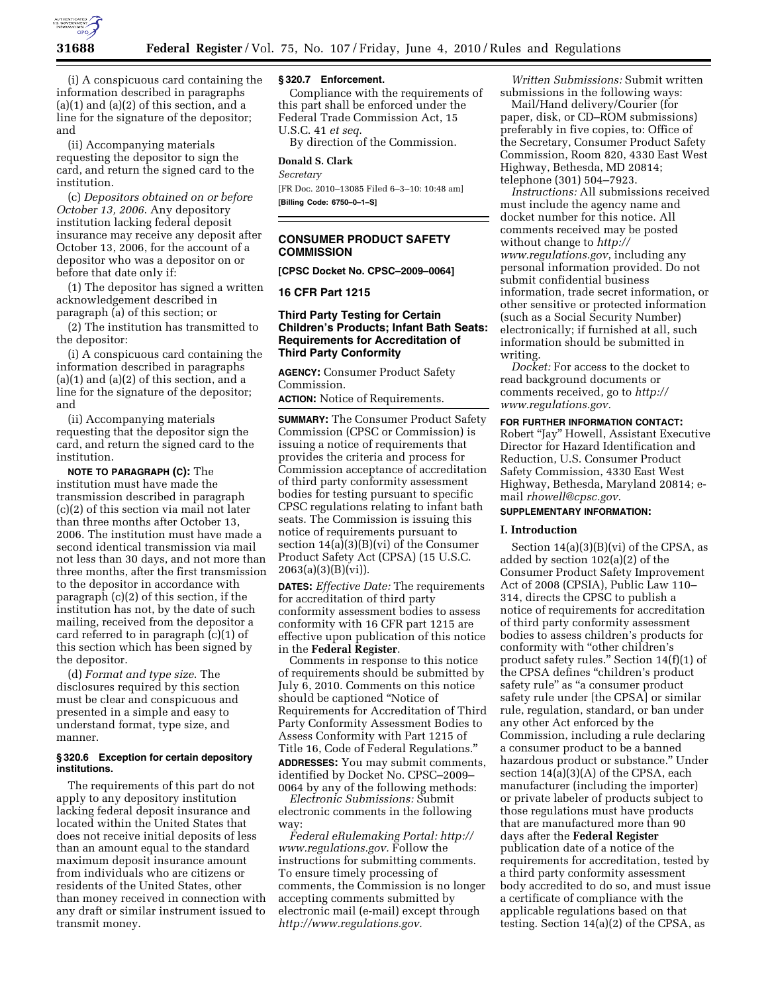

(i) A conspicuous card containing the information described in paragraphs  $(a)(1)$  and  $(a)(2)$  of this section, and a line for the signature of the depositor; and

(ii) Accompanying materials requesting the depositor to sign the card, and return the signed card to the institution.

(c) *Depositors obtained on or before October 13, 2006*. Any depository institution lacking federal deposit insurance may receive any deposit after October 13, 2006, for the account of a depositor who was a depositor on or before that date only if:

(1) The depositor has signed a written acknowledgement described in paragraph (a) of this section; or

(2) The institution has transmitted to the depositor:

(i) A conspicuous card containing the information described in paragraphs  $(a)(1)$  and  $(a)(2)$  of this section, and a line for the signature of the depositor; and

(ii) Accompanying materials requesting that the depositor sign the card, and return the signed card to the institution.

**NOTE TO PARAGRAPH (C):** The institution must have made the transmission described in paragraph (c)(2) of this section via mail not later than three months after October 13, 2006. The institution must have made a second identical transmission via mail not less than 30 days, and not more than three months, after the first transmission to the depositor in accordance with paragraph (c)(2) of this section, if the institution has not, by the date of such mailing, received from the depositor a card referred to in paragraph (c)(1) of this section which has been signed by the depositor.

(d) *Format and type size*. The disclosures required by this section must be clear and conspicuous and presented in a simple and easy to understand format, type size, and manner.

#### **§ 320.6 Exception for certain depository institutions.**

The requirements of this part do not apply to any depository institution lacking federal deposit insurance and located within the United States that does not receive initial deposits of less than an amount equal to the standard maximum deposit insurance amount from individuals who are citizens or residents of the United States, other than money received in connection with any draft or similar instrument issued to transmit money.

# **§ 320.7 Enforcement.**

Compliance with the requirements of this part shall be enforced under the Federal Trade Commission Act, 15 U.S.C. 41 *et seq*.

By direction of the Commission.

#### **Donald S. Clark**

*Secretary* 

[FR Doc. 2010–13085 Filed 6–3–10: 10:48 am] **[Billing Code: 6750–0–1–S]** 

# **CONSUMER PRODUCT SAFETY COMMISSION**

**[CPSC Docket No. CPSC–2009–0064]** 

## **16 CFR Part 1215**

### **Third Party Testing for Certain Children's Products; Infant Bath Seats: Requirements for Accreditation of Third Party Conformity**

**AGENCY:** Consumer Product Safety Commission.

**ACTION:** Notice of Requirements.

**SUMMARY:** The Consumer Product Safety Commission (CPSC or Commission) is issuing a notice of requirements that provides the criteria and process for Commission acceptance of accreditation of third party conformity assessment bodies for testing pursuant to specific CPSC regulations relating to infant bath seats. The Commission is issuing this notice of requirements pursuant to section 14(a)(3)(B)(vi) of the Consumer Product Safety Act (CPSA) (15 U.S.C.  $2063(a)(3)(B)(vi)$ .

**DATES:** *Effective Date:* The requirements for accreditation of third party conformity assessment bodies to assess conformity with 16 CFR part 1215 are effective upon publication of this notice in the **Federal Register**.

Comments in response to this notice of requirements should be submitted by July 6, 2010. Comments on this notice should be captioned ''Notice of Requirements for Accreditation of Third Party Conformity Assessment Bodies to Assess Conformity with Part 1215 of Title 16, Code of Federal Regulations.'' **ADDRESSES:** You may submit comments, identified by Docket No. CPSC–2009– 0064 by any of the following methods:

*Electronic Submissions:* Submit electronic comments in the following way:

*Federal eRulemaking Portal: http:// www.regulations.gov.* Follow the instructions for submitting comments. To ensure timely processing of comments, the Commission is no longer accepting comments submitted by electronic mail (e-mail) except through *http://www.regulations.gov.* 

*Written Submissions:* Submit written submissions in the following ways:

Mail/Hand delivery/Courier (for paper, disk, or CD–ROM submissions) preferably in five copies, to: Office of the Secretary, Consumer Product Safety Commission, Room 820, 4330 East West Highway, Bethesda, MD 20814; telephone (301) 504–7923.

*Instructions:* All submissions received must include the agency name and docket number for this notice. All comments received may be posted without change to *http:// www.regulations.gov*, including any personal information provided. Do not submit confidential business information, trade secret information, or other sensitive or protected information (such as a Social Security Number) electronically; if furnished at all, such information should be submitted in writing.

*Docket:* For access to the docket to read background documents or comments received, go to *http:// www.regulations.gov.* 

# **FOR FURTHER INFORMATION CONTACT:**

Robert ''Jay'' Howell, Assistant Executive Director for Hazard Identification and Reduction, U.S. Consumer Product Safety Commission, 4330 East West Highway, Bethesda, Maryland 20814; email *rhowell@cpsc.gov.* 

# **SUPPLEMENTARY INFORMATION:**

#### **I. Introduction**

Section 14(a)(3)(B)(vi) of the CPSA, as added by section 102(a)(2) of the Consumer Product Safety Improvement Act of 2008 (CPSIA), Public Law 110– 314, directs the CPSC to publish a notice of requirements for accreditation of third party conformity assessment bodies to assess children's products for conformity with ''other children's product safety rules.'' Section 14(f)(1) of the CPSA defines ''children's product safety rule" as "a consumer product safety rule under [the CPSA] or similar rule, regulation, standard, or ban under any other Act enforced by the Commission, including a rule declaring a consumer product to be a banned hazardous product or substance.'' Under section 14(a)(3)(A) of the CPSA, each manufacturer (including the importer) or private labeler of products subject to those regulations must have products that are manufactured more than 90 days after the **Federal Register**  publication date of a notice of the requirements for accreditation, tested by a third party conformity assessment body accredited to do so, and must issue a certificate of compliance with the applicable regulations based on that testing. Section 14(a)(2) of the CPSA, as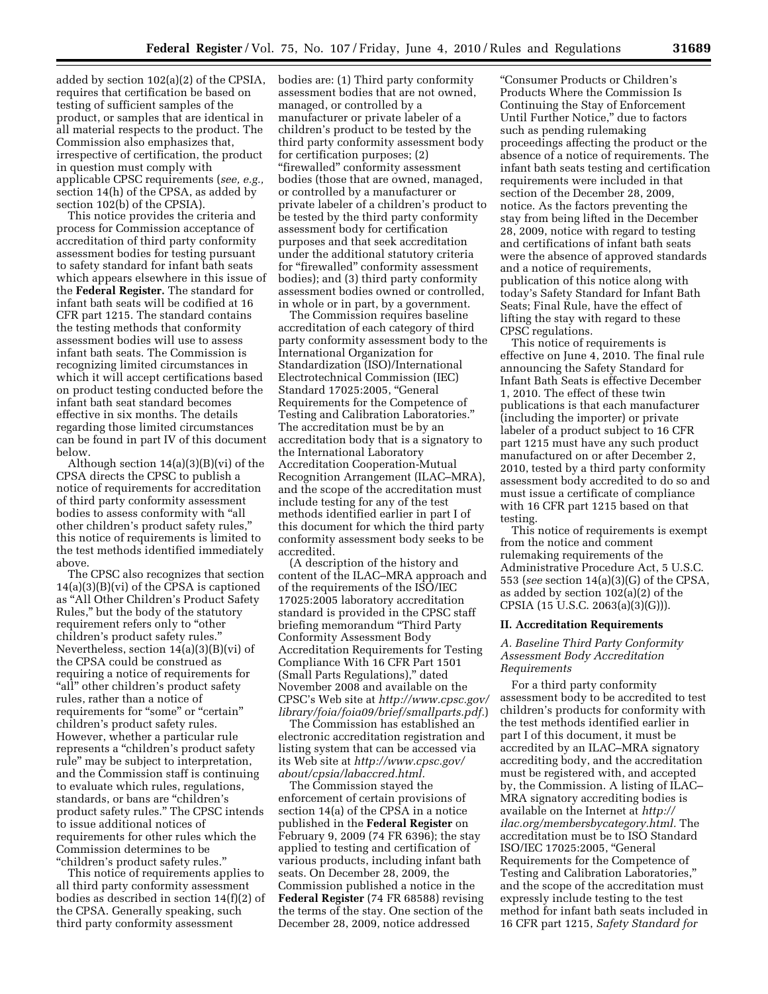added by section 102(a)(2) of the CPSIA, requires that certification be based on testing of sufficient samples of the product, or samples that are identical in all material respects to the product. The Commission also emphasizes that, irrespective of certification, the product in question must comply with applicable CPSC requirements (*see, e.g.,*  section 14(h) of the CPSA, as added by section 102(b) of the CPSIA).

This notice provides the criteria and process for Commission acceptance of accreditation of third party conformity assessment bodies for testing pursuant to safety standard for infant bath seats which appears elsewhere in this issue of the **Federal Register.** The standard for infant bath seats will be codified at 16 CFR part 1215. The standard contains the testing methods that conformity assessment bodies will use to assess infant bath seats. The Commission is recognizing limited circumstances in which it will accept certifications based on product testing conducted before the infant bath seat standard becomes effective in six months. The details regarding those limited circumstances can be found in part IV of this document below.

Although section 14(a)(3)(B)(vi) of the CPSA directs the CPSC to publish a notice of requirements for accreditation of third party conformity assessment bodies to assess conformity with ''all other children's product safety rules,'' this notice of requirements is limited to the test methods identified immediately above.

The CPSC also recognizes that section 14(a)(3)(B)(vi) of the CPSA is captioned as ''All Other Children's Product Safety Rules,'' but the body of the statutory requirement refers only to ''other children's product safety rules.'' Nevertheless, section 14(a)(3)(B)(vi) of the CPSA could be construed as requiring a notice of requirements for "all" other children's product safety rules, rather than a notice of requirements for "some" or "certain" children's product safety rules. However, whether a particular rule represents a ''children's product safety rule'' may be subject to interpretation, and the Commission staff is continuing to evaluate which rules, regulations, standards, or bans are ''children's product safety rules.'' The CPSC intends to issue additional notices of requirements for other rules which the Commission determines to be ''children's product safety rules.''

This notice of requirements applies to all third party conformity assessment bodies as described in section 14(f)(2) of the CPSA. Generally speaking, such third party conformity assessment

bodies are: (1) Third party conformity assessment bodies that are not owned, managed, or controlled by a manufacturer or private labeler of a children's product to be tested by the third party conformity assessment body for certification purposes; (2) ''firewalled'' conformity assessment bodies (those that are owned, managed, or controlled by a manufacturer or private labeler of a children's product to be tested by the third party conformity assessment body for certification purposes and that seek accreditation under the additional statutory criteria for ''firewalled'' conformity assessment bodies); and (3) third party conformity assessment bodies owned or controlled, in whole or in part, by a government.

The Commission requires baseline accreditation of each category of third party conformity assessment body to the International Organization for Standardization (ISO)/International Electrotechnical Commission (IEC) Standard 17025:2005, ''General Requirements for the Competence of Testing and Calibration Laboratories.'' The accreditation must be by an accreditation body that is a signatory to the International Laboratory Accreditation Cooperation-Mutual Recognition Arrangement (ILAC–MRA), and the scope of the accreditation must include testing for any of the test methods identified earlier in part I of this document for which the third party conformity assessment body seeks to be accredited.

(A description of the history and content of the ILAC–MRA approach and of the requirements of the ISO/IEC 17025:2005 laboratory accreditation standard is provided in the CPSC staff briefing memorandum ''Third Party Conformity Assessment Body Accreditation Requirements for Testing Compliance With 16 CFR Part 1501 (Small Parts Regulations),'' dated November 2008 and available on the CPSC's Web site at *http://www.cpsc.gov/ library/foia/foia09/brief/smallparts.pdf.*)

The Commission has established an electronic accreditation registration and listing system that can be accessed via its Web site at *http://www.cpsc.gov/ about/cpsia/labaccred.html.* 

The Commission stayed the enforcement of certain provisions of section 14(a) of the CPSA in a notice published in the **Federal Register** on February 9, 2009 (74 FR 6396); the stay applied to testing and certification of various products, including infant bath seats. On December 28, 2009, the Commission published a notice in the **Federal Register** (74 FR 68588) revising the terms of the stay. One section of the December 28, 2009, notice addressed

''Consumer Products or Children's Products Where the Commission Is Continuing the Stay of Enforcement Until Further Notice,'' due to factors such as pending rulemaking proceedings affecting the product or the absence of a notice of requirements. The infant bath seats testing and certification requirements were included in that section of the December 28, 2009, notice. As the factors preventing the stay from being lifted in the December 28, 2009, notice with regard to testing and certifications of infant bath seats were the absence of approved standards and a notice of requirements, publication of this notice along with today's Safety Standard for Infant Bath Seats; Final Rule, have the effect of lifting the stay with regard to these CPSC regulations.

This notice of requirements is effective on June 4, 2010. The final rule announcing the Safety Standard for Infant Bath Seats is effective December 1, 2010. The effect of these twin publications is that each manufacturer (including the importer) or private labeler of a product subject to 16 CFR part 1215 must have any such product manufactured on or after December 2, 2010, tested by a third party conformity assessment body accredited to do so and must issue a certificate of compliance with 16 CFR part 1215 based on that testing.

This notice of requirements is exempt from the notice and comment rulemaking requirements of the Administrative Procedure Act, 5 U.S.C. 553 (*see* section 14(a)(3)(G) of the CPSA, as added by section 102(a)(2) of the CPSIA (15 U.S.C. 2063(a)(3)(G))).

#### **II. Accreditation Requirements**

### *A. Baseline Third Party Conformity Assessment Body Accreditation Requirements*

For a third party conformity assessment body to be accredited to test children's products for conformity with the test methods identified earlier in part I of this document, it must be accredited by an ILAC–MRA signatory accrediting body, and the accreditation must be registered with, and accepted by, the Commission. A listing of ILAC– MRA signatory accrediting bodies is available on the Internet at *http:// ilac.org/membersbycategory.html.* The accreditation must be to ISO Standard ISO/IEC 17025:2005, ''General Requirements for the Competence of Testing and Calibration Laboratories,'' and the scope of the accreditation must expressly include testing to the test method for infant bath seats included in 16 CFR part 1215, *Safety Standard for*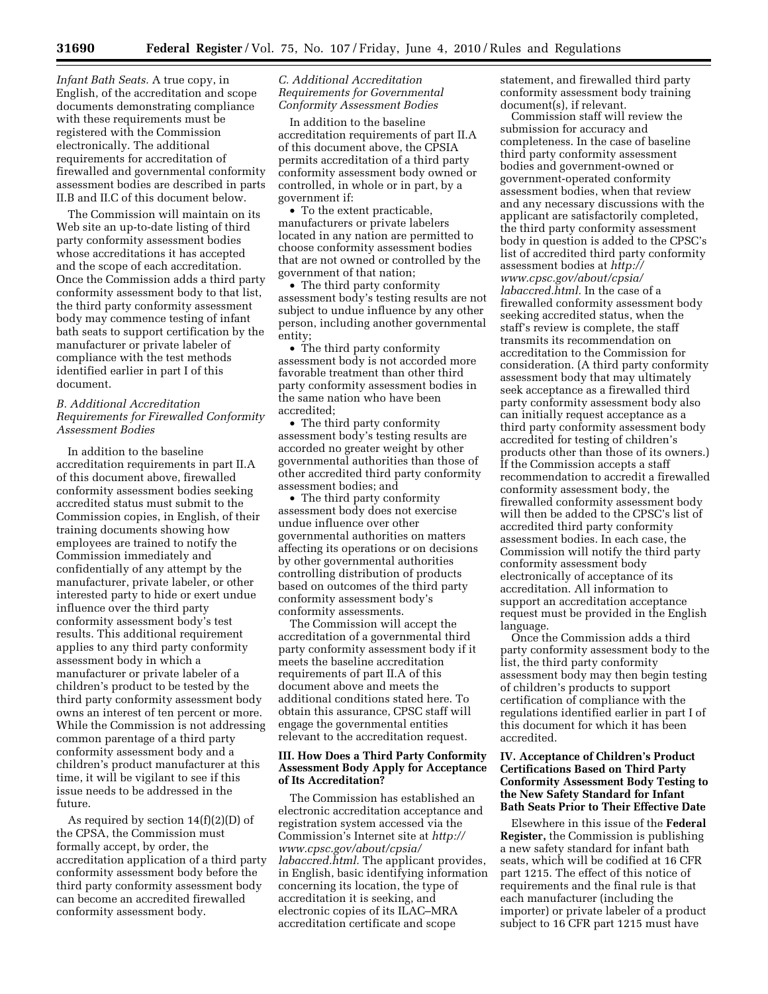*Infant Bath Seats.* A true copy, in English, of the accreditation and scope documents demonstrating compliance with these requirements must be registered with the Commission electronically. The additional requirements for accreditation of firewalled and governmental conformity assessment bodies are described in parts II.B and II.C of this document below.

The Commission will maintain on its Web site an up-to-date listing of third party conformity assessment bodies whose accreditations it has accepted and the scope of each accreditation. Once the Commission adds a third party conformity assessment body to that list, the third party conformity assessment body may commence testing of infant bath seats to support certification by the manufacturer or private labeler of compliance with the test methods identified earlier in part I of this document.

# *B. Additional Accreditation Requirements for Firewalled Conformity Assessment Bodies*

In addition to the baseline accreditation requirements in part II.A of this document above, firewalled conformity assessment bodies seeking accredited status must submit to the Commission copies, in English, of their training documents showing how employees are trained to notify the Commission immediately and confidentially of any attempt by the manufacturer, private labeler, or other interested party to hide or exert undue influence over the third party conformity assessment body's test results. This additional requirement applies to any third party conformity assessment body in which a manufacturer or private labeler of a children's product to be tested by the third party conformity assessment body owns an interest of ten percent or more. While the Commission is not addressing common parentage of a third party conformity assessment body and a children's product manufacturer at this time, it will be vigilant to see if this issue needs to be addressed in the future.

As required by section  $14(f)(2)(D)$  of the CPSA, the Commission must formally accept, by order, the accreditation application of a third party conformity assessment body before the third party conformity assessment body can become an accredited firewalled conformity assessment body.

# *C. Additional Accreditation Requirements for Governmental Conformity Assessment Bodies*

In addition to the baseline accreditation requirements of part II.A of this document above, the CPSIA permits accreditation of a third party conformity assessment body owned or controlled, in whole or in part, by a government if:

• To the extent practicable, manufacturers or private labelers located in any nation are permitted to choose conformity assessment bodies that are not owned or controlled by the government of that nation;

• The third party conformity assessment body's testing results are not subject to undue influence by any other person, including another governmental entity;

• The third party conformity assessment body is not accorded more favorable treatment than other third party conformity assessment bodies in the same nation who have been accredited;

• The third party conformity assessment body's testing results are accorded no greater weight by other governmental authorities than those of other accredited third party conformity assessment bodies; and

• The third party conformity assessment body does not exercise undue influence over other governmental authorities on matters affecting its operations or on decisions by other governmental authorities controlling distribution of products based on outcomes of the third party conformity assessment body's conformity assessments.

The Commission will accept the accreditation of a governmental third party conformity assessment body if it meets the baseline accreditation requirements of part II.A of this document above and meets the additional conditions stated here. To obtain this assurance, CPSC staff will engage the governmental entities relevant to the accreditation request.

#### **III. How Does a Third Party Conformity Assessment Body Apply for Acceptance of Its Accreditation?**

The Commission has established an electronic accreditation acceptance and registration system accessed via the Commission's Internet site at *http:// www.cpsc.gov/about/cpsia/ labaccred.html.* The applicant provides, in English, basic identifying information concerning its location, the type of accreditation it is seeking, and electronic copies of its ILAC–MRA accreditation certificate and scope

statement, and firewalled third party conformity assessment body training document(s), if relevant.

Commission staff will review the submission for accuracy and completeness. In the case of baseline third party conformity assessment bodies and government-owned or government-operated conformity assessment bodies, when that review and any necessary discussions with the applicant are satisfactorily completed, the third party conformity assessment body in question is added to the CPSC's list of accredited third party conformity assessment bodies at *http:// www.cpsc.gov/about/cpsia/ labaccred.html.* In the case of a firewalled conformity assessment body seeking accredited status, when the staff's review is complete, the staff transmits its recommendation on accreditation to the Commission for consideration. (A third party conformity assessment body that may ultimately seek acceptance as a firewalled third party conformity assessment body also can initially request acceptance as a third party conformity assessment body accredited for testing of children's products other than those of its owners.) If the Commission accepts a staff recommendation to accredit a firewalled conformity assessment body, the firewalled conformity assessment body will then be added to the CPSC's list of accredited third party conformity assessment bodies. In each case, the Commission will notify the third party conformity assessment body electronically of acceptance of its accreditation. All information to support an accreditation acceptance request must be provided in the English language.

Once the Commission adds a third party conformity assessment body to the list, the third party conformity assessment body may then begin testing of children's products to support certification of compliance with the regulations identified earlier in part I of this document for which it has been accredited.

### **IV. Acceptance of Children's Product Certifications Based on Third Party Conformity Assessment Body Testing to the New Safety Standard for Infant Bath Seats Prior to Their Effective Date**

Elsewhere in this issue of the **Federal Register,** the Commission is publishing a new safety standard for infant bath seats, which will be codified at 16 CFR part 1215. The effect of this notice of requirements and the final rule is that each manufacturer (including the importer) or private labeler of a product subject to 16 CFR part 1215 must have